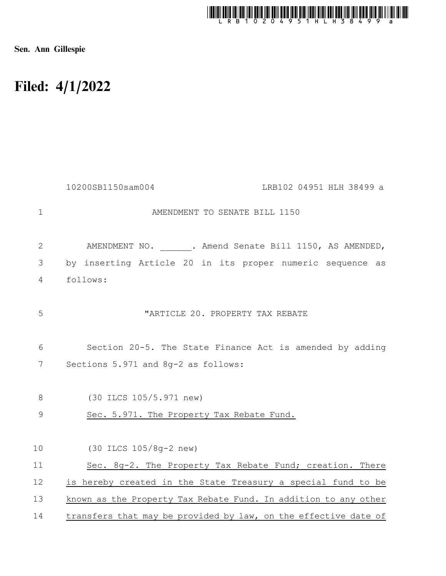

Sen. Ann Gillespie

## Filed: 4/1/2022

|              | 10200SB1150sam004<br>LRB102 04951 HLH 38499 a                   |
|--------------|-----------------------------------------------------------------|
| $\mathbf{1}$ | AMENDMENT TO SENATE BILL 1150                                   |
| 2            | AMENDMENT NO. . Amend Senate Bill 1150, AS AMENDED,             |
| 3            | by inserting Article 20 in its proper numeric sequence as       |
| 4            | follows:                                                        |
| 5            | "ARTICLE 20. PROPERTY TAX REBATE                                |
| 6            | Section 20-5. The State Finance Act is amended by adding        |
| 7            | Sections 5.971 and 8q-2 as follows:                             |
| 8            | (30 ILCS 105/5.971 new)                                         |
| 9            | Sec. 5.971. The Property Tax Rebate Fund.                       |
| 10           | (30 ILCS 105/8q-2 new)                                          |
| 11           | Sec. 8g-2. The Property Tax Rebate Fund; creation. There        |
| 12           | is hereby created in the State Treasury a special fund to be    |
| 13           | known as the Property Tax Rebate Fund. In addition to any other |
| 14           | transfers that may be provided by law, on the effective date of |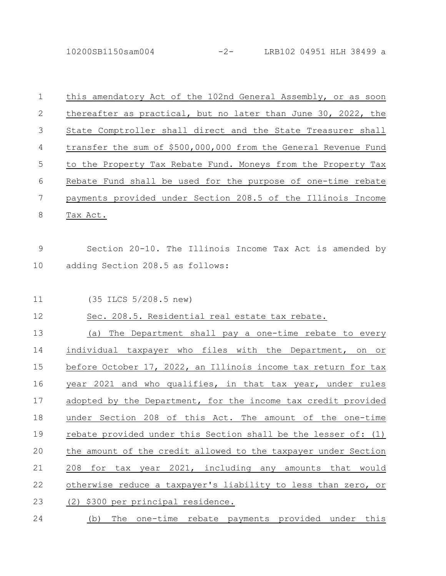10200SB1150sam004 -2- LRB102 04951 HLH 38499 a

| $\mathbf 1$ | this amendatory Act of the 102nd General Assembly, or as soon   |
|-------------|-----------------------------------------------------------------|
| 2           | thereafter as practical, but no later than June 30, 2022, the   |
| 3           | State Comptroller shall direct and the State Treasurer shall    |
| 4           | transfer the sum of \$500,000,000 from the General Revenue Fund |
| 5           | to the Property Tax Rebate Fund. Moneys from the Property Tax   |
| 6           | Rebate Fund shall be used for the purpose of one-time rebate    |
| 7           | payments provided under Section 208.5 of the Illinois Income    |
| 8           | Tax Act.                                                        |
|             |                                                                 |
| 9           | Section 20-10. The Illinois Income Tax Act is amended by        |
| 10          | adding Section 208.5 as follows:                                |
|             |                                                                 |
| 11          | (35 ILCS 5/208.5 new)                                           |
| 12          | Sec. 208.5. Residential real estate tax rebate.                 |
| 13          | The Department shall pay a one-time rebate to every<br>(a)      |
| 14          | individual taxpayer who files with the Department, on<br>Оr     |
| 15          | before October 17, 2022, an Illinois income tax return for tax  |
| 16          | year 2021 and who qualifies, in that tax year, under rules      |
| 17          | adopted by the Department, for the income tax credit provided   |
| 18          | under Section 208 of this Act. The amount of the one-time       |
| 19          | rebate provided under this Section shall be the lesser of: (1)  |
| 20          | the amount of the credit allowed to the taxpayer under Section  |
| 21          | 208 for tax year 2021, including any amounts that would         |
| 22          | otherwise reduce a taxpayer's liability to less than zero, or   |
|             |                                                                 |
| 23          | (2) \$300 per principal residence.                              |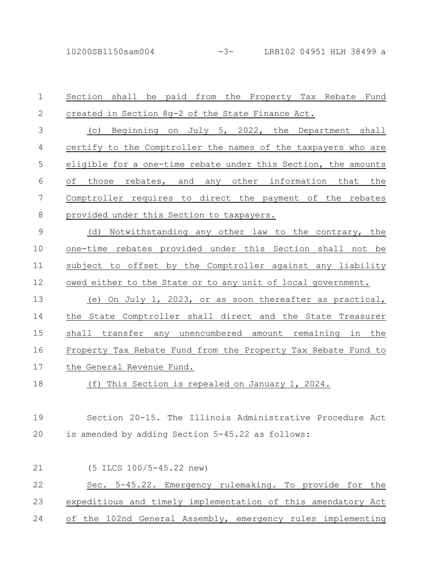| $\mathbf 1$ | Section shall be paid from the Property Tax Rebate Fund        |
|-------------|----------------------------------------------------------------|
| $\sqrt{2}$  | created in Section 8g-2 of the State Finance Act.              |
| 3           | (c) Beginning on July 5, 2022, the Department shall            |
| 4           | certify to the Comptroller the names of the taxpayers who are  |
| 5           | eligible for a one-time rebate under this Section, the amounts |
| 6           | rebates, and any other information that the<br>those<br>οf     |
| 7           | Comptroller requires to direct the payment of the rebates      |
| $\,8\,$     | provided under this Section to taxpayers.                      |
| $\mathsf 9$ | (d) Notwithstanding any other law to the contrary, the         |
| 10          | one-time rebates provided under this Section shall not be      |
| 11          | subject to offset by the Comptroller against any liability     |
| 12          | owed either to the State or to any unit of local government.   |
| 13          | (e) On July 1, 2023, or as soon thereafter as practical,       |
| 14          | the State Comptroller shall direct and the State Treasurer     |
| 15          | shall transfer any unencumbered amount remaining in the        |
| 16          | Property Tax Rebate Fund from the Property Tax Rebate Fund to  |
| 17          | the General Revenue Fund.                                      |
| 18          | (f) This Section is repealed on January 1, 2024.               |
|             |                                                                |
| 19          | Section 20-15. The Illinois Administrative Procedure Act       |
| 20          | is amended by adding Section 5-45.22 as follows:               |
|             |                                                                |
| 21          | (5 ILCS 100/5-45.22 new)                                       |
| 22          | Sec. 5-45.22. Emergency rulemaking. To provide for the         |
| 23          | expeditious and timely implementation of this amendatory Act   |
| 24          | of the 102nd General Assembly, emergency rules implementing    |